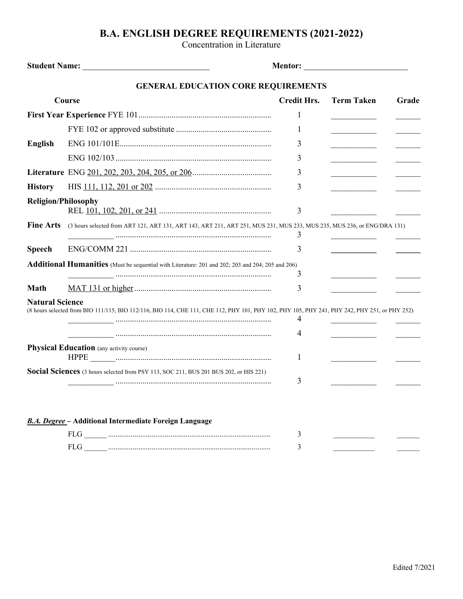## **B.A. ENGLISH DEGREE REQUIREMENTS (2021-2022)**

Concentration in Literature

|                            |                                                                                                                                               | <b>Mentor: ________________________</b> |                                                                     |       |
|----------------------------|-----------------------------------------------------------------------------------------------------------------------------------------------|-----------------------------------------|---------------------------------------------------------------------|-------|
|                            | <b>GENERAL EDUCATION CORE REQUIREMENTS</b>                                                                                                    |                                         |                                                                     |       |
| <b>Course</b>              |                                                                                                                                               | <b>Credit Hrs.</b>                      | <b>Term Taken</b>                                                   | Grade |
|                            |                                                                                                                                               | 1                                       |                                                                     |       |
|                            |                                                                                                                                               | 1                                       |                                                                     |       |
| <b>English</b>             |                                                                                                                                               | 3                                       |                                                                     |       |
|                            |                                                                                                                                               | 3                                       |                                                                     |       |
|                            |                                                                                                                                               | 3                                       |                                                                     |       |
| <b>History</b>             |                                                                                                                                               | 3                                       |                                                                     |       |
| <b>Religion/Philosophy</b> |                                                                                                                                               |                                         |                                                                     |       |
|                            |                                                                                                                                               | 3                                       |                                                                     |       |
| <b>Fine Arts</b>           | (3 hours selected from ART 121, ART 131, ART 143, ART 211, ART 251, MUS 231, MUS 233, MUS 235, MUS 236, or ENG/DRA 131)                       | 3                                       |                                                                     |       |
| <b>Speech</b>              |                                                                                                                                               | 3                                       | <u> 1989 - Andrea Station Books, amerikansk politiker (d. 1989)</u> |       |
|                            | <b>Additional Humanities</b> (Must be sequential with Literature: 201 and 202; 203 and 204; 205 and 206)                                      |                                         |                                                                     |       |
|                            |                                                                                                                                               | 3                                       |                                                                     |       |
| <b>Math</b>                |                                                                                                                                               | 3                                       |                                                                     |       |
| <b>Natural Science</b>     | (8 hours selected from BIO 111/115, BIO 112/116, BIO 114, CHE 111, CHE 112, PHY 101, PHY 102, PHY 105, PHY 241, PHY 242, PHY 251, or PHY 252) | 4<br>4                                  |                                                                     |       |
|                            | <b>Physical Education</b> (any activity course)                                                                                               |                                         |                                                                     |       |
|                            |                                                                                                                                               | 1                                       |                                                                     |       |
|                            | Social Sciences (3 hours selected from PSY 113, SOC 211, BUS 201 BUS 202, or HIS 221)                                                         | 3                                       |                                                                     |       |
|                            | <b>B.A. Degree</b> - Additional Intermediate Foreign Language                                                                                 |                                         |                                                                     |       |
|                            |                                                                                                                                               | 3                                       |                                                                     |       |
|                            | FLG                                                                                                                                           | 3                                       |                                                                     |       |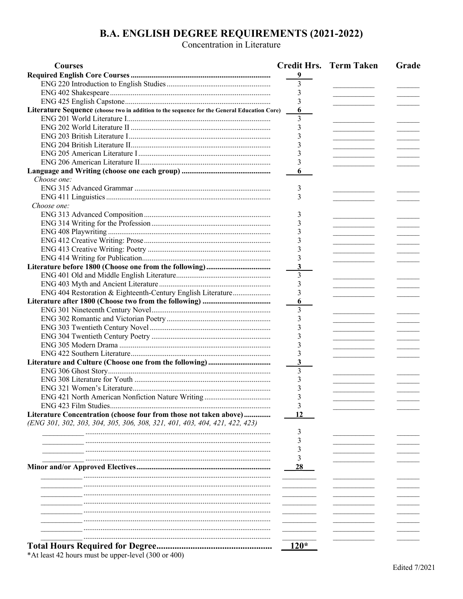## **B.A. ENGLISH DEGREE REQUIREMENTS (2021-2022)**<br>Concentration in Literature

| <b>Courses</b>                                                                              |        | <b>Credit Hrs. Term Taken</b> | Grade |
|---------------------------------------------------------------------------------------------|--------|-------------------------------|-------|
|                                                                                             | 9      |                               |       |
|                                                                                             | 3      |                               |       |
|                                                                                             | 3      |                               |       |
|                                                                                             | 3      |                               |       |
| Literature Sequence (choose two in addition to the sequence for the General Education Core) | 6      |                               |       |
|                                                                                             | 3      |                               |       |
|                                                                                             | 3      |                               |       |
|                                                                                             |        |                               |       |
|                                                                                             |        |                               |       |
|                                                                                             |        |                               |       |
|                                                                                             |        |                               |       |
|                                                                                             | 6      |                               |       |
| Choose one:                                                                                 |        |                               |       |
|                                                                                             | 3      |                               |       |
|                                                                                             | 3      |                               |       |
| Choose one:                                                                                 |        |                               |       |
|                                                                                             | 3      |                               |       |
|                                                                                             | 3      |                               |       |
|                                                                                             | 3      |                               |       |
|                                                                                             |        |                               |       |
|                                                                                             |        |                               |       |
|                                                                                             |        |                               |       |
|                                                                                             | 3      |                               |       |
|                                                                                             | 3      |                               |       |
|                                                                                             | 3      |                               |       |
| ENG 404 Restoration & Eighteenth-Century English Literature                                 | 3      |                               |       |
|                                                                                             | 6      |                               |       |
|                                                                                             | 3      |                               |       |
|                                                                                             | 3      |                               |       |
|                                                                                             | 3      |                               |       |
|                                                                                             |        |                               |       |
|                                                                                             | 3      |                               |       |
|                                                                                             |        |                               |       |
|                                                                                             | 3      |                               |       |
|                                                                                             | 3      |                               |       |
|                                                                                             | 3      |                               |       |
|                                                                                             | 3      |                               |       |
|                                                                                             |        |                               |       |
| ENG 421 North American Nonfiction Nature Writing.                                           |        |                               |       |
|                                                                                             | 3      |                               |       |
| Literature Concentration (choose four from those not taken above)                           | 12     |                               |       |
| (ENG 301, 302, 303, 304, 305, 306, 308, 321, 401, 403, 404, 421, 422, 423)                  |        |                               |       |
|                                                                                             | 3      |                               |       |
|                                                                                             | 3      |                               |       |
|                                                                                             |        |                               |       |
|                                                                                             | 3      |                               |       |
|                                                                                             | 28     |                               |       |
|                                                                                             |        |                               |       |
|                                                                                             |        |                               |       |
|                                                                                             |        |                               |       |
|                                                                                             |        |                               |       |
|                                                                                             |        |                               |       |
|                                                                                             |        |                               |       |
|                                                                                             |        |                               |       |
|                                                                                             |        |                               |       |
|                                                                                             | $120*$ |                               |       |

\*At least 42 hours must be upper-level  $(300 \text{ or } 400)$